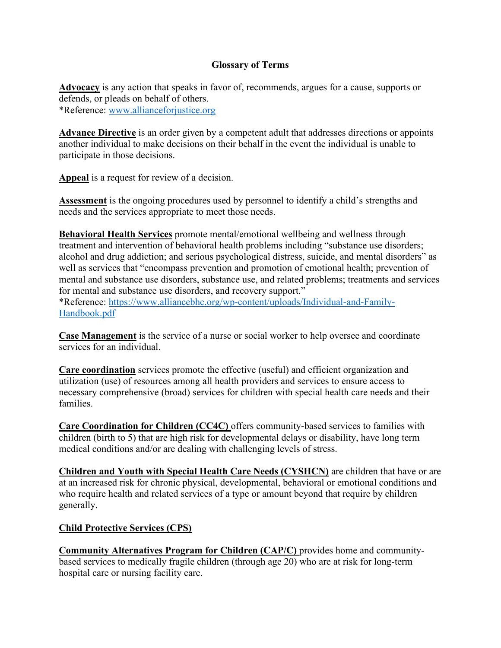## **Glossary of Terms**

**Advocacy** is any action that speaks in favor of, recommends, argues for a cause, supports or defends, or pleads on behalf of others. \*Reference: [www.allianceforjustice.org](http://www.allianceforjustice.org/)

**Advance Directive** is an order given by a competent adult that addresses directions or appoints another individual to make decisions on their behalf in the event the individual is unable to participate in those decisions.

**Appeal** is a request for review of a decision.

**Assessment** is the ongoing procedures used by personnel to identify a child's strengths and needs and the services appropriate to meet those needs.

**Behavioral Health Services** promote mental/emotional wellbeing and wellness through treatment and intervention of behavioral health problems including "substance use disorders; alcohol and drug addiction; and serious psychological distress, suicide, and mental disorders" as well as services that "encompass prevention and promotion of emotional health; prevention of mental and substance use disorders, substance use, and related problems; treatments and services for mental and substance use disorders, and recovery support."

\*Reference: [https://www.alliancebhc.org/wp-content/uploads/Individual-and-Family-](https://www.alliancebhc.org/wp-content/uploads/Individual-and-Family-Handbook.pdf)[Handbook.pdf](https://www.alliancebhc.org/wp-content/uploads/Individual-and-Family-Handbook.pdf)

**Case Management** is the service of a nurse or social worker to help oversee and coordinate services for an individual.

**Care coordination** services promote the effective (useful) and efficient organization and utilization (use) of resources among all health providers and services to ensure access to necessary comprehensive (broad) services for children with special health care needs and their families.

**Care Coordination for Children (CC4C)** offers community-based services to families with children (birth to 5) that are high risk for developmental delays or disability, have long term medical conditions and/or are dealing with challenging levels of stress.

**Children and Youth with Special Health Care Needs (CYSHCN)** are children that have or are at an increased risk for chronic physical, developmental, behavioral or emotional conditions and who require health and related services of a type or amount beyond that require by children generally.

## **Child Protective Services (CPS)**

**Community Alternatives Program for Children (CAP/C)** provides home and communitybased services to medically fragile children (through age 20) who are at risk for long-term hospital care or nursing facility care.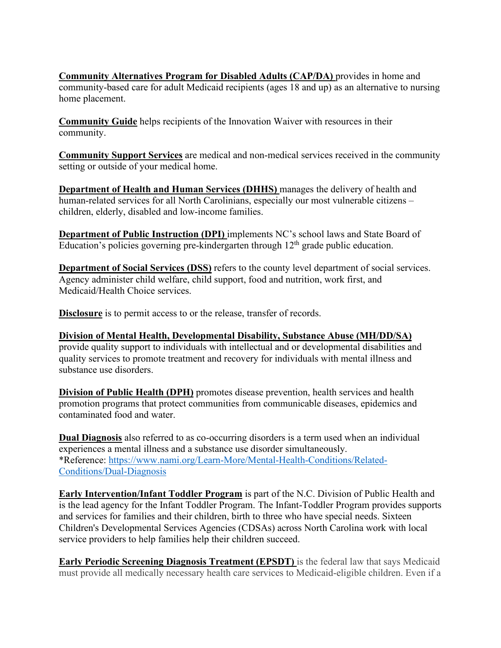**Community Alternatives Program for Disabled Adults (CAP/DA)** provides in home and community-based care for adult Medicaid recipients (ages 18 and up) as an alternative to nursing home placement.

**Community Guide** helps recipients of the Innovation Waiver with resources in their community.

**Community Support Services** are medical and non-medical services received in the community setting or outside of your medical home.

**Department of Health and Human Services (DHHS)** manages the delivery of health and human-related services for all North Carolinians, especially our most vulnerable citizens – children, elderly, disabled and low-income families.

**Department of Public Instruction (DPI)** implements NC's school laws and State Board of Education's policies governing pre-kindergarten through  $12<sup>th</sup>$  grade public education.

**Department of Social Services (DSS)** refers to the county level department of social services. Agency administer child welfare, child support, food and nutrition, work first, and Medicaid/Health Choice services.

**Disclosure** is to permit access to or the release, transfer of records.

**Division of Mental Health, Developmental Disability, Substance Abuse (MH/DD/SA)** provide quality support to individuals with intellectual and or developmental disabilities and quality services to promote treatment and recovery for individuals with mental illness and substance use disorders.

**Division of Public Health (DPH)** promotes disease prevention, health services and health promotion programs that protect communities from communicable diseases, epidemics and contaminated food and water.

**Dual Diagnosis** also referred to as co-occurring disorders is a term used when an individual experiences a mental illness and a substance use disorder simultaneously. \*Reference: [https://www.nami.org/Learn-More/Mental-Health-Conditions/Related-](https://www.nami.org/Learn-More/Mental-Health-Conditions/Related-Conditions/Dual-Diagnosis)[Conditions/Dual-Diagnosis](https://www.nami.org/Learn-More/Mental-Health-Conditions/Related-Conditions/Dual-Diagnosis)

**Early Intervention/Infant Toddler Program** is part of the N.C. Division of Public Health and is the lead agency for the Infant Toddler Program. The Infant-Toddler Program provides supports and services for families and their children, birth to three who have special needs. Sixteen Children's Developmental Services Agencies (CDSAs) across North Carolina work with local service providers to help families help their children succeed.

**Early Periodic Screening Diagnosis Treatment (EPSDT)** is the federal law that says Medicaid must provide all medically necessary health care services to Medicaid-eligible children. Even if a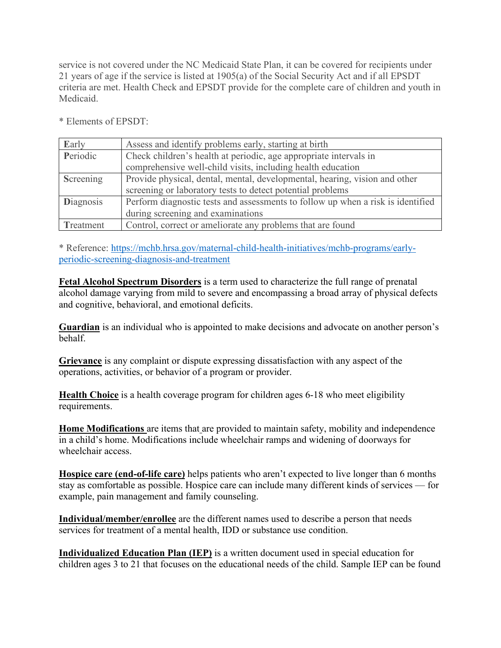service is not covered under the NC Medicaid State Plan, it can be covered for recipients under 21 years of age if the service is listed at 1905(a) of the Social Security Act and if all EPSDT criteria are met. Health Check and EPSDT provide for the complete care of children and youth in Medicaid.

**Early** Assess and identify problems early, starting at birth **Periodic** Check children's health at periodic, age appropriate intervals in comprehensive well-child visits, including health education **S**creening Provide physical, dental, mental, developmental, hearing, vision and other screening or laboratory tests to detect potential problems Diagnosis Perform diagnostic tests and assessments to follow up when a risk is identified during screening and examinations **Treatment** Control, correct or ameliorate any problems that are found

\* Elements of EPSDT:

\* Reference: [https://mchb.hrsa.gov/maternal-child-health-initiatives/mchb-programs/early](https://mchb.hrsa.gov/maternal-child-health-initiatives/mchb-programs/early-periodic-screening-diagnosis-and-treatment)[periodic-screening-diagnosis-and-treatment](https://mchb.hrsa.gov/maternal-child-health-initiatives/mchb-programs/early-periodic-screening-diagnosis-and-treatment)

**Fetal Alcohol Spectrum Disorders** is a term used to characterize the full range of prenatal alcohol damage varying from mild to severe and encompassing a broad array of physical defects and cognitive, behavioral, and emotional deficits.

**Guardian** is an individual who is appointed to make decisions and advocate on another person's behalf.

**Grievance** is any complaint or dispute expressing dissatisfaction with any aspect of the operations, activities, or behavior of a program or provider.

**Health Choice** is a health coverage program for children ages 6-18 who meet eligibility requirements.

**Home Modifications** are items that are provided to maintain safety, mobility and independence in a child's home. Modifications include wheelchair ramps and widening of doorways for wheelchair access.

**Hospice care (end-of-life care)** helps patients who aren't expected to live longer than 6 months stay as comfortable as possible. Hospice care can include many different kinds of services — for example, pain management and family counseling.

**Individual/member/enrollee** are the different names used to describe a person that needs services for treatment of a mental health, IDD or substance use condition.

**Individualized Education Plan (IEP)** is a written document used in special education for children ages 3 to 21 that focuses on the educational needs of the child. Sample IEP can be found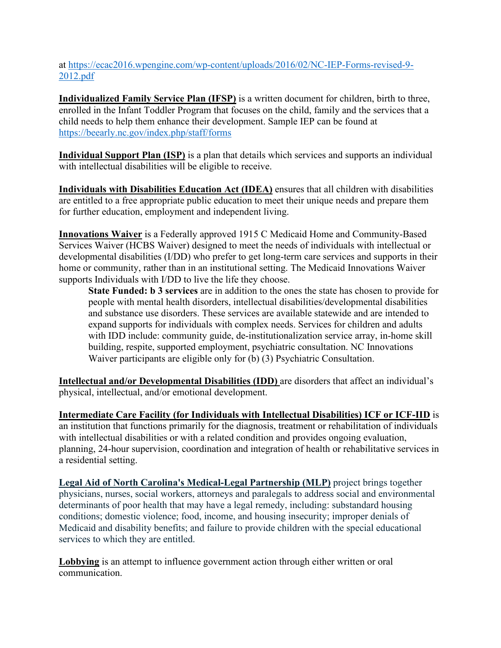at [https://ecac2016.wpengine.com/wp-content/uploads/2016/02/NC-IEP-Forms-revised-9-](https://ecac2016.wpengine.com/wp-content/uploads/2016/02/NC-IEP-Forms-revised-9-2012.pdf) [2012.pdf](https://ecac2016.wpengine.com/wp-content/uploads/2016/02/NC-IEP-Forms-revised-9-2012.pdf)

**Individualized Family Service Plan (IFSP)** is a written document for children, birth to three, enrolled in the Infant Toddler Program that focuses on the child, family and the services that a child needs to help them enhance their development. Sample IEP can be found at <https://beearly.nc.gov/index.php/staff/forms>

**Individual Support Plan (ISP)** is a plan that details which services and supports an individual with intellectual disabilities will be eligible to receive.

**Individuals with Disabilities Education Act (IDEA)** ensures that all children with disabilities are entitled to a free appropriate public education to meet their unique needs and prepare them for further education, employment and independent living.

**Innovations Waiver** is a Federally approved 1915 C Medicaid Home and Community-Based Services Waiver (HCBS Waiver) designed to meet the needs of individuals with intellectual or developmental disabilities (I/DD) who prefer to get long-term care services and supports in their home or community, rather than in an institutional setting. The Medicaid Innovations Waiver supports Individuals with I/DD to live the life they choose.

**State Funded: b 3 services** are in addition to the ones the state has chosen to provide for people with mental health disorders, intellectual disabilities/developmental disabilities and substance use disorders. These services are available statewide and are intended to expand supports for individuals with complex needs. Services for children and adults with IDD include: community guide, de-institutionalization service array, in-home skill building, respite, supported employment, psychiatric consultation. NC Innovations Waiver participants are eligible only for (b) (3) Psychiatric Consultation.

**Intellectual and/or Developmental Disabilities (IDD)** are disorders that affect an individual's physical, intellectual, and/or emotional development.

**Intermediate Care Facility (for Individuals with Intellectual Disabilities) ICF or ICF-IID** is an institution that functions primarily for the diagnosis, treatment or rehabilitation of individuals with intellectual disabilities or with a related condition and provides ongoing evaluation, planning, 24-hour supervision, coordination and integration of health or rehabilitative services in a residential setting.

**Legal Aid of North Carolina's Medical-Legal Partnership (MLP)** project brings together physicians, nurses, social workers, attorneys and paralegals to address social and environmental determinants of poor health that may have a legal remedy, including: substandard housing conditions; domestic violence; food, income, and housing insecurity; improper denials of Medicaid and disability benefits; and failure to provide children with the special educational services to which they are entitled.

**Lobbying** is an attempt to influence government action through either written or oral communication.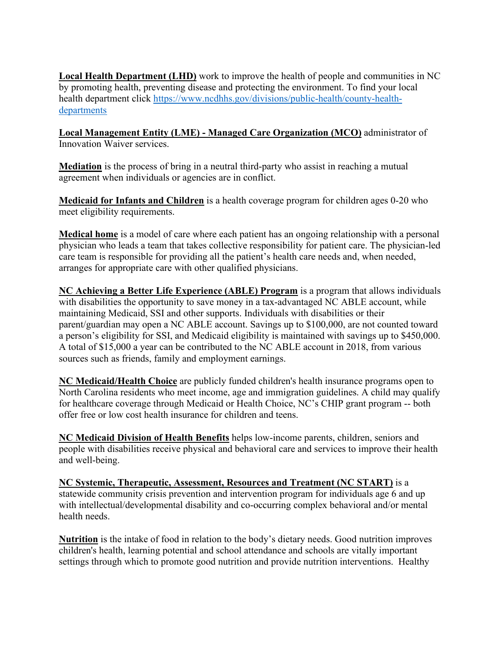**Local Health Department (LHD)** work to improve the health of people and communities in NC by promoting health, preventing disease and protecting the environment. To find your local health department click [https://www.ncdhhs.gov/divisions/public-health/county-health](https://www.ncdhhs.gov/divisions/public-health/county-health-departments)[departments](https://www.ncdhhs.gov/divisions/public-health/county-health-departments)

**Local Management Entity (LME) - Managed Care Organization (MCO)** administrator of Innovation Waiver services.

**Mediation** is the process of bring in a neutral third-party who assist in reaching a mutual agreement when individuals or agencies are in conflict.

**Medicaid for Infants and Children** is a health coverage program for children ages 0-20 who meet eligibility requirements.

**Medical home** is a model of care where each patient has an ongoing relationship with a personal physician who leads a team that takes collective responsibility for patient care. The physician‐led care team is responsible for providing all the patient's health care needs and, when needed, arranges for appropriate care with other qualified physicians.

**NC Achieving a Better Life Experience (ABLE) Program** is a program that allows individuals with disabilities the opportunity to save money in a tax-advantaged NC ABLE account, while maintaining Medicaid, SSI and other supports. Individuals with disabilities or their parent/guardian may open a NC ABLE account. Savings up to \$100,000, are not counted toward a person's eligibility for SSI, and Medicaid eligibility is maintained with savings up to \$450,000. A total of \$15,000 a year can be contributed to the NC ABLE account in 2018, from various sources such as friends, family and employment earnings.

**NC Medicaid/Health Choice** are publicly funded children's health insurance programs open to North Carolina residents who meet income, age and immigration guidelines. A child may qualify for healthcare coverage through Medicaid or Health Choice, NC's CHIP grant program -- both offer free or low cost health insurance for children and teens.

**NC Medicaid Division of Health Benefits** helps low-income parents, children, seniors and people with disabilities receive physical and behavioral care and services to improve their health and well-being.

**NC Systemic, Therapeutic, Assessment, Resources and Treatment (NC START)** is a statewide community crisis prevention and intervention program for individuals age 6 and up with intellectual/developmental disability and co-occurring complex behavioral and/or mental health needs.

**Nutrition** is the intake of food in relation to the body's dietary needs. Good nutrition improves children's health, learning potential and school attendance and schools are vitally important settings through which to promote good nutrition and provide nutrition interventions. Healthy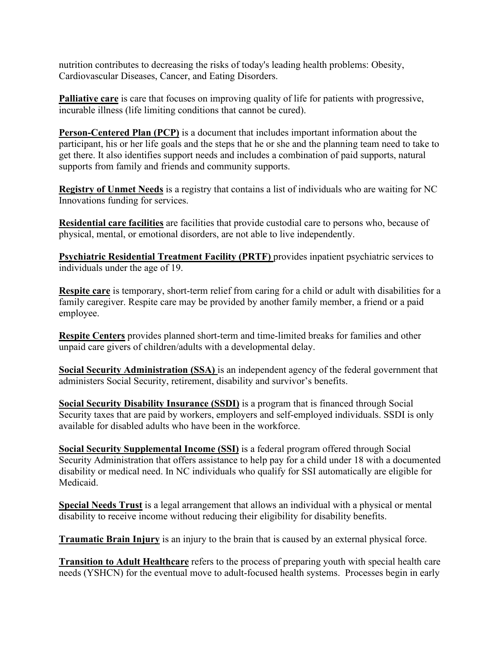nutrition contributes to decreasing the risks of today's leading health problems: Obesity, Cardiovascular Diseases, Cancer, and Eating Disorders.

**Palliative care** is care that focuses on improving quality of life for patients with progressive, incurable illness (life limiting conditions that cannot be cured).

**Person-Centered Plan (PCP)** is a document that includes important information about the participant, his or her life goals and the steps that he or she and the planning team need to take to get there. It also identifies support needs and includes a combination of paid supports, natural supports from family and friends and community supports.

**Registry of Unmet Needs** is a registry that contains a list of individuals who are waiting for NC Innovations funding for services.

**Residential care facilities** are facilities that provide custodial care to persons who, because of physical, mental, or emotional disorders, are not able to live independently.

**Psychiatric Residential Treatment Facility (PRTF)** provides inpatient psychiatric services to individuals under the age of 19.

**Respite care** is temporary, short-term relief from caring for a child or adult with disabilities for a family caregiver. Respite care may be provided by another family member, a friend or a paid employee.

**Respite Centers** provides planned short-term and time-limited breaks for families and other unpaid care givers of children/adults with a developmental delay.

**Social Security Administration (SSA)** is an independent agency of the federal government that administers Social Security, retirement, disability and survivor's benefits.

**Social Security Disability Insurance (SSDI)** is a program that is financed through Social Security taxes that are paid by workers, employers and self-employed individuals. SSDI is only available for disabled adults who have been in the workforce.

**Social Security Supplemental Income (SSI)** is a federal program offered through Social Security Administration that offers assistance to help pay for a child under 18 with a documented disability or medical need. In NC individuals who qualify for SSI automatically are eligible for Medicaid.

**Special Needs Trust** is a legal arrangement that allows an individual with a physical or mental disability to receive income without reducing their eligibility for disability benefits.

**Traumatic Brain Injury** is an injury to the brain that is caused by an external physical force.

**Transition to Adult Healthcare** refers to the process of preparing youth with special health care needs (YSHCN) for the eventual move to adult-focused health systems. Processes begin in early